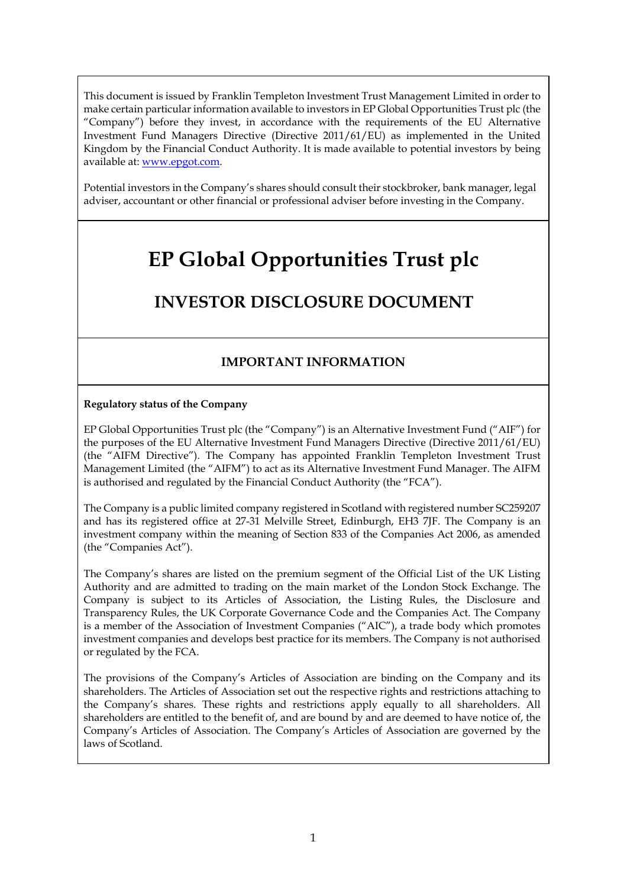This document is issued by Franklin Templeton Investment Trust Management Limited in order to make certain particular information available to investors in EP Global Opportunities Trust plc (the "Company") before they invest, in accordance with the requirements of the EU Alternative Investment Fund Managers Directive (Directive 2011/61/EU) as implemented in the United Kingdom by the Financial Conduct Authority. It is made available to potential investors by being available at: [www.epgot.com.](http://www.eitplc.com/)

Potential investors in the Company's shares should consult their stockbroker, bank manager, legal adviser, accountant or other financial or professional adviser before investing in the Company.

# **EP Global Opportunities Trust plc**

## **INVESTOR DISCLOSURE DOCUMENT**

## **IMPORTANT INFORMATION**

#### **Regulatory status of the Company**

EP Global Opportunities Trust plc (the "Company") is an Alternative Investment Fund ("AIF") for the purposes of the EU Alternative Investment Fund Managers Directive (Directive 2011/61/EU) (the "AIFM Directive"). The Company has appointed Franklin Templeton Investment Trust Management Limited (the "AIFM") to act as its Alternative Investment Fund Manager. The AIFM is authorised and regulated by the Financial Conduct Authority (the "FCA").

The Company is a public limited company registered in Scotland with registered number SC259207 and has its registered office at 27-31 Melville Street, Edinburgh, EH3 7JF. The Company is an investment company within the meaning of Section 833 of the Companies Act 2006, as amended (the "Companies Act").

The Company's shares are listed on the premium segment of the Official List of the UK Listing Authority and are admitted to trading on the main market of the London Stock Exchange. The Company is subject to its Articles of Association, the Listing Rules, the Disclosure and Transparency Rules, the UK Corporate Governance Code and the Companies Act. The Company is a member of the Association of Investment Companies ("AIC"), a trade body which promotes investment companies and develops best practice for its members. The Company is not authorised or regulated by the FCA.

The provisions of the Company's Articles of Association are binding on the Company and its shareholders. The Articles of Association set out the respective rights and restrictions attaching to the Company's shares. These rights and restrictions apply equally to all shareholders. All shareholders are entitled to the benefit of, and are bound by and are deemed to have notice of, the Company's Articles of Association. The Company's Articles of Association are governed by the laws of Scotland.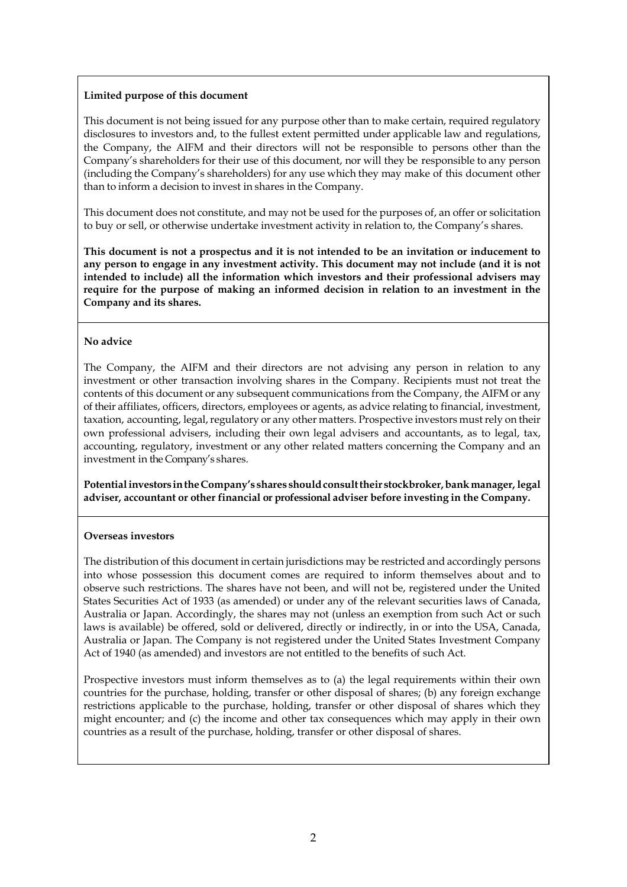#### **Limited purpose of this document**

This document is not being issued for any purpose other than to make certain, required regulatory disclosures to investors and, to the fullest extent permitted under applicable law and regulations, the Company, the AIFM and their directors will not be responsible to persons other than the Company's shareholders for their use of this document, nor will they be responsible to any person (including the Company's shareholders) for any use which they may make of this document other than to inform a decision to invest in shares in the Company.

This document does not constitute, and may not be used for the purposes of, an offer or solicitation to buy or sell, or otherwise undertake investment activity in relation to, the Company's shares.

**This document is not a prospectus and it is not intended to be an invitation or inducement to any person to engage in any investment activity. This document may not include (and it is not intended to include) all the information which investors and their professional advisers may require for the purpose of making an informed decision in relation to an investment in the Company and its shares.**

#### **No advice**

The Company, the AIFM and their directors are not advising any person in relation to any investment or other transaction involving shares in the Company. Recipients must not treat the contents of this document or any subsequent communications from the Company, the AIFM or any of their affiliates, officers, directors, employees or agents, as advice relating to financial, investment, taxation, accounting, legal, regulatory or any other matters. Prospective investors must rely on their own professional advisers, including their own legal advisers and accountants, as to legal, tax, accounting, regulatory, investment or any other related matters concerning the Company and an investment in the Company's shares.

**Potentialinvestors intheCompany's shares shouldconsulttheir stockbroker,bankmanager, legal adviser, accountant or other financial or professional adviser before investing in the Company.**

#### **Overseas investors**

The distribution of this document in certain jurisdictions may be restricted and accordingly persons into whose possession this document comes are required to inform themselves about and to observe such restrictions. The shares have not been, and will not be, registered under the United States Securities Act of 1933 (as amended) or under any of the relevant securities laws of Canada, Australia or Japan. Accordingly, the shares may not (unless an exemption from such Act or such laws is available) be offered, sold or delivered, directly or indirectly, in or into the USA, Canada, Australia or Japan. The Company is not registered under the United States Investment Company Act of 1940 (as amended) and investors are not entitled to the benefits of such Act.

Prospective investors must inform themselves as to (a) the legal requirements within their own countries for the purchase, holding, transfer or other disposal of shares; (b) any foreign exchange restrictions applicable to the purchase, holding, transfer or other disposal of shares which they might encounter; and (c) the income and other tax consequences which may apply in their own countries as a result of the purchase, holding, transfer or other disposal of shares.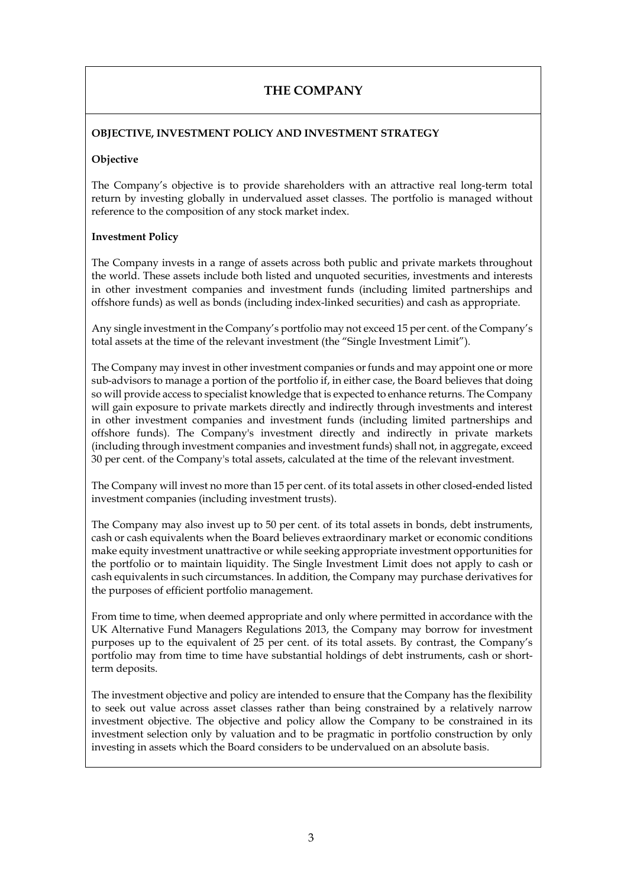## **THE COMPANY**

#### **OBJECTIVE, INVESTMENT POLICY AND INVESTMENT STRATEGY**

#### **Objective**

The Company's objective is to provide shareholders with an attractive real long-term total return by investing globally in undervalued asset classes. The portfolio is managed without reference to the composition of any stock market index.

#### **Investment Policy**

The Company invests in a range of assets across both public and private markets throughout the world. These assets include both listed and unquoted securities, investments and interests in other investment companies and investment funds (including limited partnerships and offshore funds) as well as bonds (including index-linked securities) and cash as appropriate.

Any single investment in the Company's portfolio may not exceed 15 per cent. of the Company's total assets at the time of the relevant investment (the "Single Investment Limit").

The Company may invest in other investment companies or funds and may appoint one or more sub-advisors to manage a portion of the portfolio if, in either case, the Board believes that doing so will provide access to specialist knowledge that is expected to enhance returns. The Company will gain exposure to private markets directly and indirectly through investments and interest in other investment companies and investment funds (including limited partnerships and offshore funds). The Company's investment directly and indirectly in private markets (including through investment companies and investment funds) shall not, in aggregate, exceed 30 per cent. of the Company's total assets, calculated at the time of the relevant investment.

The Company will invest no more than 15 per cent. of its total assets in other closed-ended listed investment companies (including investment trusts).

The Company may also invest up to 50 per cent. of its total assets in bonds, debt instruments, cash or cash equivalents when the Board believes extraordinary market or economic conditions make equity investment unattractive or while seeking appropriate investment opportunities for the portfolio or to maintain liquidity. The Single Investment Limit does not apply to cash or cash equivalents in such circumstances. In addition, the Company may purchase derivatives for the purposes of efficient portfolio management.

From time to time, when deemed appropriate and only where permitted in accordance with the UK Alternative Fund Managers Regulations 2013, the Company may borrow for investment purposes up to the equivalent of 25 per cent. of its total assets. By contrast, the Company's portfolio may from time to time have substantial holdings of debt instruments, cash or shortterm deposits.

The investment objective and policy are intended to ensure that the Company has the flexibility to seek out value across asset classes rather than being constrained by a relatively narrow investment objective. The objective and policy allow the Company to be constrained in its investment selection only by valuation and to be pragmatic in portfolio construction by only investing in assets which the Board considers to be undervalued on an absolute basis.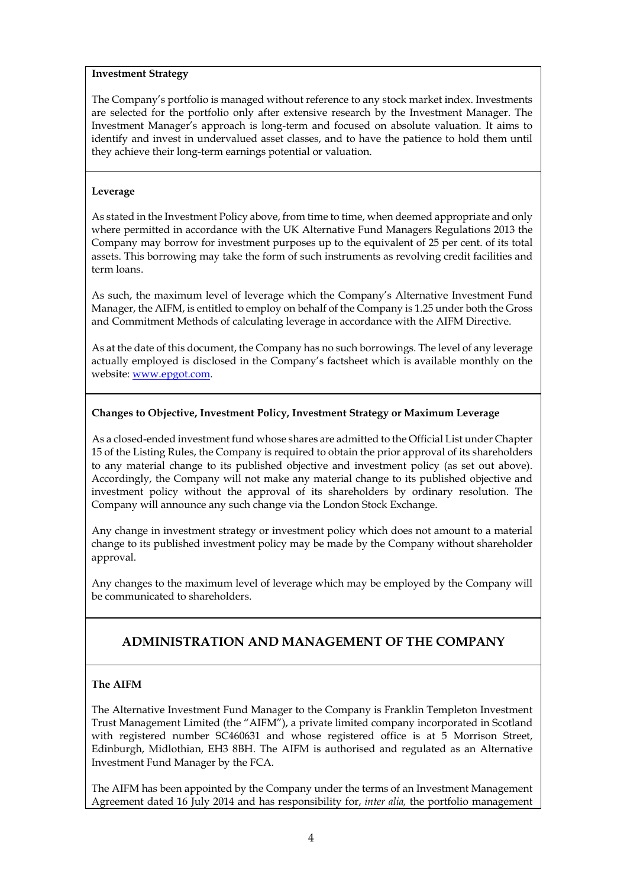#### **Investment Strategy**

The Company's portfolio is managed without reference to any stock market index. Investments are selected for the portfolio only after extensive research by the Investment Manager. The Investment Manager's approach is long-term and focused on absolute valuation. It aims to identify and invest in undervalued asset classes, and to have the patience to hold them until they achieve their long-term earnings potential or valuation.

#### **Leverage**

As stated in the Investment Policy above, from time to time, when deemed appropriate and only where permitted in accordance with the UK Alternative Fund Managers Regulations 2013 the Company may borrow for investment purposes up to the equivalent of 25 per cent. of its total assets. This borrowing may take the form of such instruments as revolving credit facilities and term loans.

As such, the maximum level of leverage which the Company's Alternative Investment Fund Manager, the AIFM, is entitled to employ on behalf of the Company is 1.25 under both the Gross and Commitment Methods of calculating leverage in accordance with the AIFM Directive.

As at the date of this document, the Company has no such borrowings. The level of any leverage actually employed is disclosed in the Company's factsheet which is available monthly on the website: [www.epgot.com.](http://www.epgot.com/)

#### **Changes to Objective, Investment Policy, Investment Strategy or Maximum Leverage**

As a closed-ended investment fund whose shares are admitted to the Official List under Chapter 15 of the Listing Rules, the Company is required to obtain the prior approval of its shareholders to any material change to its published objective and investment policy (as set out above). Accordingly, the Company will not make any material change to its published objective and investment policy without the approval of its shareholders by ordinary resolution. The Company will announce any such change via the London Stock Exchange.

Any change in investment strategy or investment policy which does not amount to a material change to its published investment policy may be made by the Company without shareholder approval.

Any changes to the maximum level of leverage which may be employed by the Company will be communicated to shareholders.

## **ADMINISTRATION AND MANAGEMENT OF THE COMPANY**

#### **The AIFM**

The Alternative Investment Fund Manager to the Company is Franklin Templeton Investment Trust Management Limited (the "AIFM"), a private limited company incorporated in Scotland with registered number SC460631 and whose registered office is at 5 Morrison Street, Edinburgh, Midlothian, EH3 8BH. The AIFM is authorised and regulated as an Alternative Investment Fund Manager by the FCA.

The AIFM has been appointed by the Company under the terms of an Investment Management Agreement dated 16 July 2014 and has responsibility for, *inter alia,* the portfolio management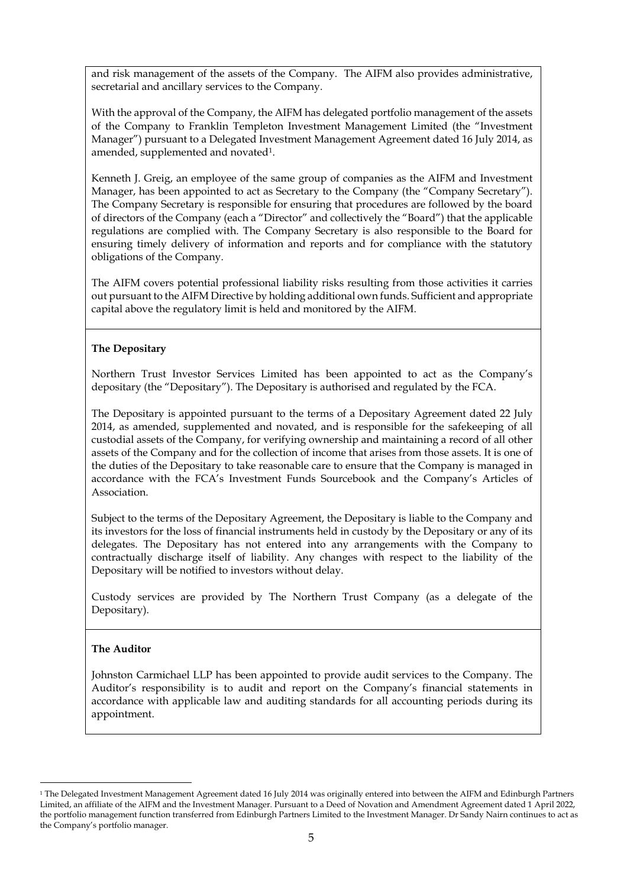and risk management of the assets of the Company. The AIFM also provides administrative, secretarial and ancillary services to the Company.

With the approval of the Company, the AIFM has delegated portfolio management of the assets of the Company to Franklin Templeton Investment Management Limited (the "Investment Manager") pursuant to a Delegated Investment Management Agreement dated 16 July 2014, as amended, supplemented and novate[d1.](#page-4-0)

Kenneth J. Greig, an employee of the same group of companies as the AIFM and Investment Manager, has been appointed to act as Secretary to the Company (the "Company Secretary"). The Company Secretary is responsible for ensuring that procedures are followed by the board of directors of the Company (each a "Director" and collectively the "Board") that the applicable regulations are complied with. The Company Secretary is also responsible to the Board for ensuring timely delivery of information and reports and for compliance with the statutory obligations of the Company.

The AIFM covers potential professional liability risks resulting from those activities it carries out pursuant to the AIFM Directive by holding additional own funds. Sufficient and appropriate capital above the regulatory limit is held and monitored by the AIFM.

#### **The Depositary**

Northern Trust Investor Services Limited has been appointed to act as the Company's depositary (the "Depositary"). The Depositary is authorised and regulated by the FCA.

The Depositary is appointed pursuant to the terms of a Depositary Agreement dated 22 July 2014, as amended, supplemented and novated, and is responsible for the safekeeping of all custodial assets of the Company, for verifying ownership and maintaining a record of all other assets of the Company and for the collection of income that arises from those assets. It is one of the duties of the Depositary to take reasonable care to ensure that the Company is managed in accordance with the FCA's Investment Funds Sourcebook and the Company's Articles of Association.

Subject to the terms of the Depositary Agreement, the Depositary is liable to the Company and its investors for the loss of financial instruments held in custody by the Depositary or any of its delegates. The Depositary has not entered into any arrangements with the Company to contractually discharge itself of liability. Any changes with respect to the liability of the Depositary will be notified to investors without delay.

Custody services are provided by The Northern Trust Company (as a delegate of the Depositary).

#### **The Auditor**

Johnston Carmichael LLP has been appointed to provide audit services to the Company. The Auditor's responsibility is to audit and report on the Company's financial statements in accordance with applicable law and auditing standards for all accounting periods during its appointment.

<span id="page-4-0"></span><sup>&</sup>lt;sup>1</sup> The Delegated Investment Management Agreement dated 16 July 2014 was originally entered into between the AIFM and Edinburgh Partners Limited, an affiliate of the AIFM and the Investment Manager. Pursuant to a Deed of Novation and Amendment Agreement dated 1 April 2022, the portfolio management function transferred from Edinburgh Partners Limited to the Investment Manager. Dr Sandy Nairn continues to act as the Company's portfolio manager.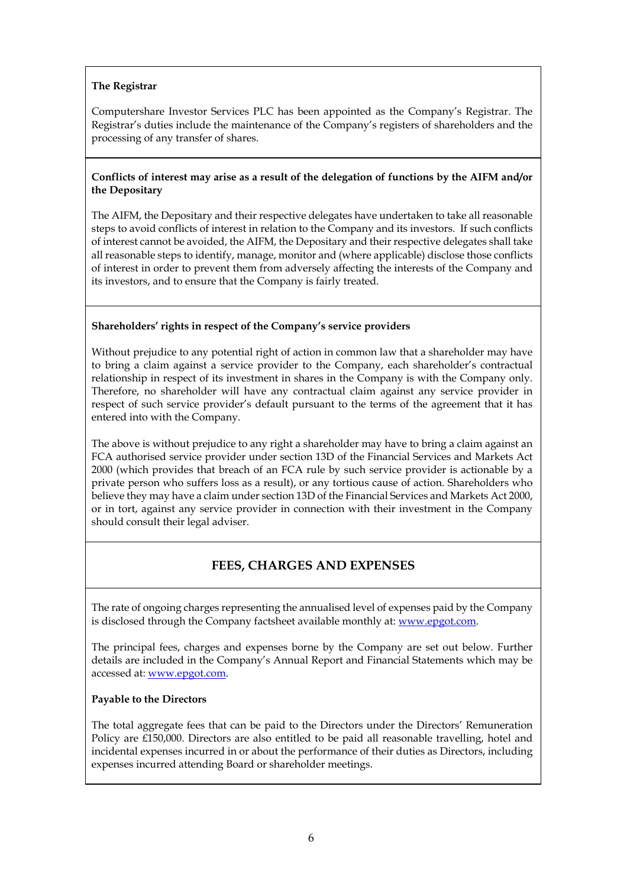#### **The Registrar**

Computershare Investor Services PLC has been appointed as the Company's Registrar. The Registrar's duties include the maintenance of the Company's registers of shareholders and the processing of any transfer of shares.

#### **Conflicts of interest may arise as a result of the delegation of functions by the AIFM and/or the Depositary**

The AIFM, the Depositary and their respective delegates have undertaken to take all reasonable steps to avoid conflicts of interest in relation to the Company and its investors. If such conflicts of interest cannot be avoided, the AIFM, the Depositary and their respective delegates shall take all reasonable steps to identify, manage, monitor and (where applicable) disclose those conflicts of interest in order to prevent them from adversely affecting the interests of the Company and its investors, and to ensure that the Company is fairly treated.

#### **Shareholders' rights in respect of the Company's service providers**

Without prejudice to any potential right of action in common law that a shareholder may have to bring a claim against a service provider to the Company, each shareholder's contractual relationship in respect of its investment in shares in the Company is with the Company only. Therefore, no shareholder will have any contractual claim against any service provider in respect of such service provider's default pursuant to the terms of the agreement that it has entered into with the Company.

The above is without prejudice to any right a shareholder may have to bring a claim against an FCA authorised service provider under section 13D of the Financial Services and Markets Act 2000 (which provides that breach of an FCA rule by such service provider is actionable by a private person who suffers loss as a result), or any tortious cause of action. Shareholders who believe they may have a claim under section 13D of the Financial Services and Markets Act 2000, or in tort, against any service provider in connection with their investment in the Company should consult their legal adviser.

## **FEES, CHARGES AND EXPENSES**

The rate of ongoing charges representing the annualised level of expenses paid by the Company is disclosed through the Company factsheet available monthly at: [www.epgot.com.](http://www.epgot.com/)

The principal fees, charges and expenses borne by the Company are set out below. Further details are included in the Company's Annual Report and Financial Statements which may be accessed at[: www.epgot.com.](http://www.epgot.com/)

#### **Payable to the Directors**

The total aggregate fees that can be paid to the Directors under the Directors' Remuneration Policy are £150,000. Directors are also entitled to be paid all reasonable travelling, hotel and incidental expenses incurred in or about the performance of their duties as Directors, including expenses incurred attending Board or shareholder meetings.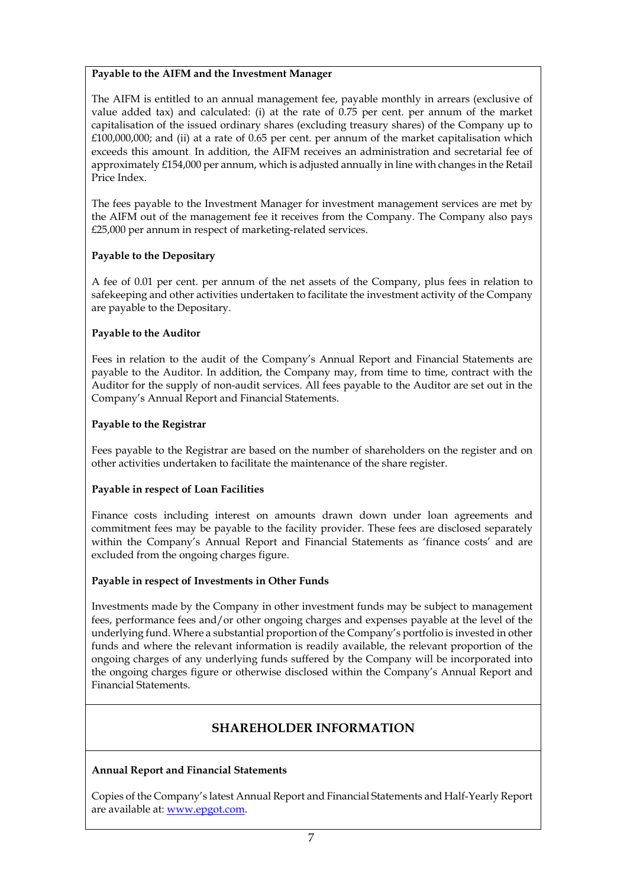#### **Payable to the AIFM and the Investment Manager**

The AIFM is entitled to an annual management fee, payable monthly in arrears (exclusive of value added tax) and calculated: (i) at the rate of 0.75 per cent. per annum of the market capitalisation of the issued ordinary shares (excluding treasury shares) of the Company up to  $£100,000,000;$  and (ii) at a rate of 0.65 per cent. per annum of the market capitalisation which exceeds this amount. In addition, the AIFM receives an administration and secretarial fee of approximately  $£154,000$  per annum, which is adjusted annually in line with changes in the Retail Price Index.

The fees payable to the Investment Manager for investment management services are met by the AIFM out of the management fee it receives from the Company. The Company also pays £25,000 per annum in respect of marketing-related services.

#### **Payable to the Depositary**

A fee of 0.01 per cent. per annum of the net assets of the Company, plus fees in relation to safekeeping and other activities undertaken to facilitate the investment activity of the Company are payable to the Depositary.

#### **Payable to the Auditor**

Fees in relation to the audit of the Company's Annual Report and Financial Statements are payable to the Auditor. In addition, the Company may, from time to time, contract with the Auditor for the supply of non-audit services. All fees payable to the Auditor are set out in the Company's Annual Report and Financial Statements.

#### **Payable to the Registrar**

Fees payable to the Registrar are based on the number of shareholders on the register and on other activities undertaken to facilitate the maintenance of the share register.

#### **Payable in respect of Loan Facilities**

Finance costs including interest on amounts drawn down under loan agreements and commitment fees may be payable to the facility provider. These fees are disclosed separately within the Company's Annual Report and Financial Statements as 'finance costs' and are excluded from the ongoing charges figure.

#### **Payable in respect of Investments in Other Funds**

Investments made by the Company in other investment funds may be subject to management fees, performance fees and/or other ongoing charges and expenses payable at the level of the underlying fund. Where a substantial proportion of the Company's portfolio is invested in other funds and where the relevant information is readily available, the relevant proportion of the ongoing charges of any underlying funds suffered by the Company will be incorporated into the ongoing charges figure or otherwise disclosed within the Company's Annual Report and Financial Statements.

## **SHAREHOLDER INFORMATION**

#### **Annual Report and Financial Statements**

Copies of the Company's latest Annual Report and Financial Statements and Half-Yearly Report are available at[: www.epgot.com.](http://www.epgot.com/)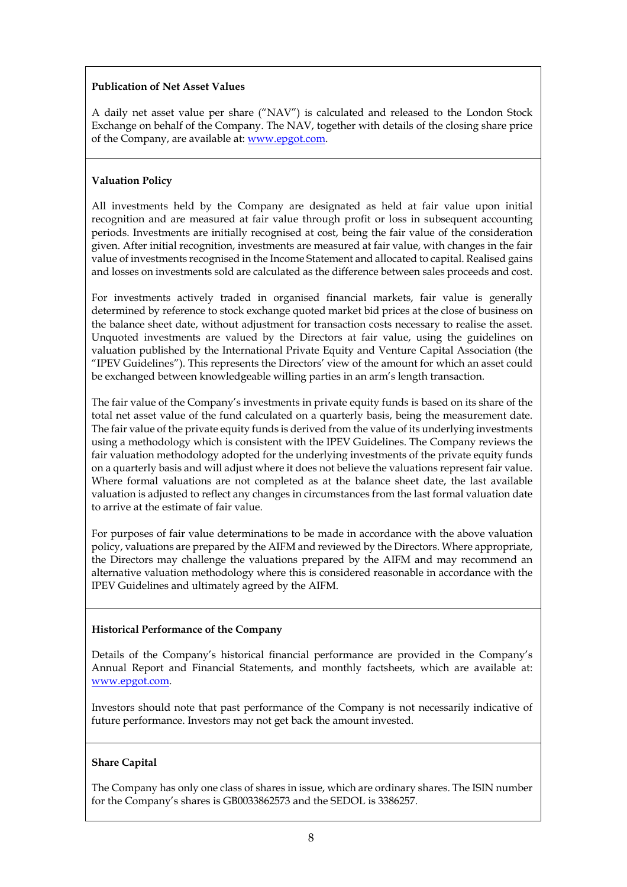#### **Publication of Net Asset Values**

A daily net asset value per share ("NAV") is calculated and released to the London Stock Exchange on behalf of the Company. The NAV, together with details of the closing share price of the Company, are available at: [www.epgot.com.](http://www.epgot.com/)

#### **Valuation Policy**

All investments held by the Company are designated as held at fair value upon initial recognition and are measured at fair value through profit or loss in subsequent accounting periods. Investments are initially recognised at cost, being the fair value of the consideration given. After initial recognition, investments are measured at fair value, with changes in the fair value of investments recognised in the Income Statement and allocated to capital. Realised gains and losses on investments sold are calculated as the difference between sales proceeds and cost.

For investments actively traded in organised financial markets, fair value is generally determined by reference to stock exchange quoted market bid prices at the close of business on the balance sheet date, without adjustment for transaction costs necessary to realise the asset. Unquoted investments are valued by the Directors at fair value, using the guidelines on valuation published by the International Private Equity and Venture Capital Association (the "IPEV Guidelines"). This represents the Directors' view of the amount for which an asset could be exchanged between knowledgeable willing parties in an arm's length transaction.

The fair value of the Company's investments in private equity funds is based on its share of the total net asset value of the fund calculated on a quarterly basis, being the measurement date. The fair value of the private equity funds is derived from the value of its underlying investments using a methodology which is consistent with the IPEV Guidelines. The Company reviews the fair valuation methodology adopted for the underlying investments of the private equity funds on a quarterly basis and will adjust where it does not believe the valuations represent fair value. Where formal valuations are not completed as at the balance sheet date, the last available valuation is adjusted to reflect any changes in circumstances from the last formal valuation date to arrive at the estimate of fair value.

For purposes of fair value determinations to be made in accordance with the above valuation policy, valuations are prepared by the AIFM and reviewed by the Directors. Where appropriate, the Directors may challenge the valuations prepared by the AIFM and may recommend an alternative valuation methodology where this is considered reasonable in accordance with the IPEV Guidelines and ultimately agreed by the AIFM.

#### **Historical Performance of the Company**

Details of the Company's historical financial performance are provided in the Company's Annual Report and Financial Statements, and monthly factsheets, which are available at: [www.epgot.com.](http://www.epgot.com/)

Investors should note that past performance of the Company is not necessarily indicative of future performance. Investors may not get back the amount invested.

#### **Share Capital**

The Company has only one class of shares in issue, which are ordinary shares. The ISIN number for the Company's shares is GB0033862573 and the SEDOL is 3386257.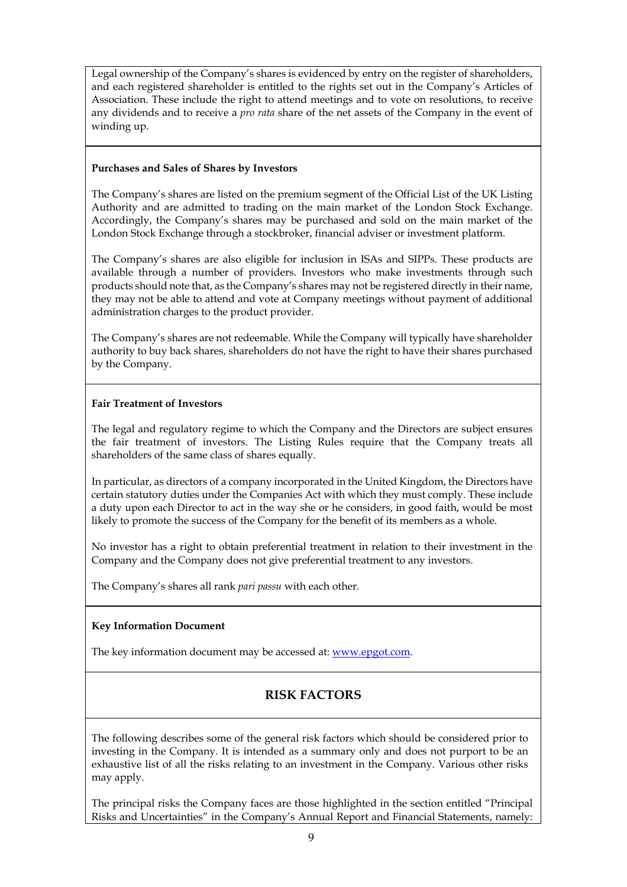Legal ownership of the Company's shares is evidenced by entry on the register of shareholders, and each registered shareholder is entitled to the rights set out in the Company's Articles of Association. These include the right to attend meetings and to vote on resolutions, to receive any dividends and to receive a *pro rata* share of the net assets of the Company in the event of winding up.

#### **Purchases and Sales of Shares by Investors**

The Company's shares are listed on the premium segment of the Official List of the UK Listing Authority and are admitted to trading on the main market of the London Stock Exchange. Accordingly, the Company's shares may be purchased and sold on the main market of the London Stock Exchange through a stockbroker, financial adviser or investment platform.

The Company's shares are also eligible for inclusion in ISAs and SIPPs. These products are available through a number of providers. Investors who make investments through such products should note that, as the Company's shares may not be registered directly in their name, they may not be able to attend and vote at Company meetings without payment of additional administration charges to the product provider.

The Company's shares are not redeemable. While the Company will typically have shareholder authority to buy back shares, shareholders do not have the right to have their shares purchased by the Company.

#### **Fair Treatment of Investors**

The legal and regulatory regime to which the Company and the Directors are subject ensures the fair treatment of investors. The Listing Rules require that the Company treats all shareholders of the same class of shares equally.

In particular, as directors of a company incorporated in the United Kingdom, the Directors have certain statutory duties under the Companies Act with which they must comply. These include a duty upon each Director to act in the way she or he considers, in good faith, would be most likely to promote the success of the Company for the benefit of its members as a whole.

No investor has a right to obtain preferential treatment in relation to their investment in the Company and the Company does not give preferential treatment to any investors.

The Company's shares all rank *pari passu* with each other.

#### **Key Information Document**

The key information document may be accessed at: [www.epgot.com.](http://www.epgot.com/)

## **RISK FACTORS**

The following describes some of the general risk factors which should be considered prior to investing in the Company. It is intended as a summary only and does not purport to be an exhaustive list of all the risks relating to an investment in the Company. Various other risks may apply.

The principal risks the Company faces are those highlighted in the section entitled "Principal Risks and Uncertainties" in the Company's Annual Report and Financial Statements, namely: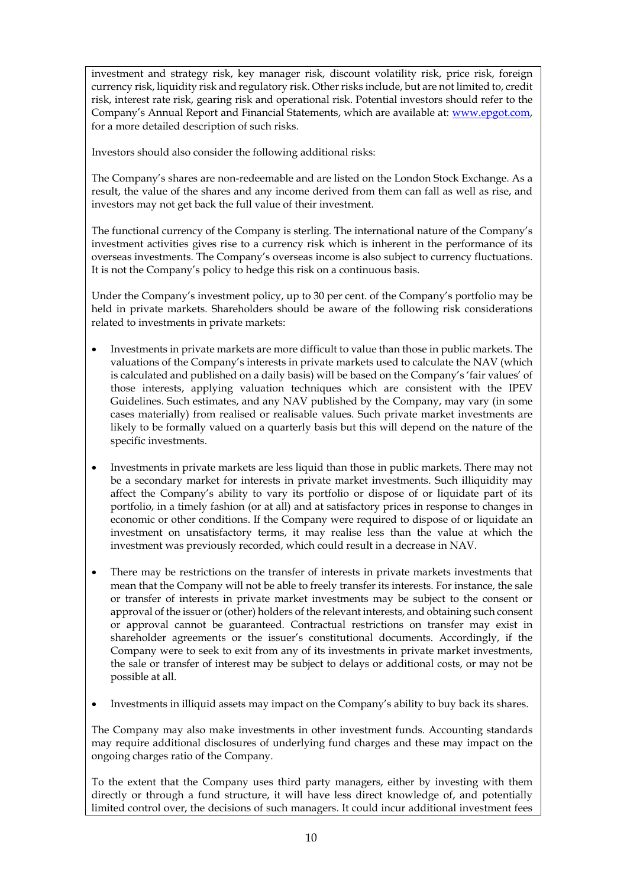investment and strategy risk, key manager risk, discount volatility risk, price risk, foreign currency risk, liquidity risk and regulatory risk. Other risks include, but are not limited to, credit risk, interest rate risk, gearing risk and operational risk. Potential investors should refer to the Company's Annual Report and Financial Statements, which are available at: [www.epgot.com,](http://www.epgot.com/)  for a more detailed description of such risks.

Investors should also consider the following additional risks:

The Company's shares are non-redeemable and are listed on the London Stock Exchange. As a result, the value of the shares and any income derived from them can fall as well as rise, and investors may not get back the full value of their investment.

The functional currency of the Company is sterling. The international nature of the Company's investment activities gives rise to a currency risk which is inherent in the performance of its overseas investments. The Company's overseas income is also subject to currency fluctuations. It is not the Company's policy to hedge this risk on a continuous basis.

Under the Company's investment policy, up to 30 per cent. of the Company's portfolio may be held in private markets. Shareholders should be aware of the following risk considerations related to investments in private markets:

- Investments in private markets are more difficult to value than those in public markets. The valuations of the Company's interests in private markets used to calculate the NAV (which is calculated and published on a daily basis) will be based on the Company's 'fair values' of those interests, applying valuation techniques which are consistent with the IPEV Guidelines. Such estimates, and any NAV published by the Company, may vary (in some cases materially) from realised or realisable values. Such private market investments are likely to be formally valued on a quarterly basis but this will depend on the nature of the specific investments.
- Investments in private markets are less liquid than those in public markets. There may not be a secondary market for interests in private market investments. Such illiquidity may affect the Company's ability to vary its portfolio or dispose of or liquidate part of its portfolio, in a timely fashion (or at all) and at satisfactory prices in response to changes in economic or other conditions. If the Company were required to dispose of or liquidate an investment on unsatisfactory terms, it may realise less than the value at which the investment was previously recorded, which could result in a decrease in NAV.
- There may be restrictions on the transfer of interests in private markets investments that mean that the Company will not be able to freely transfer its interests. For instance, the sale or transfer of interests in private market investments may be subject to the consent or approval of the issuer or (other) holders of the relevant interests, and obtaining such consent or approval cannot be guaranteed. Contractual restrictions on transfer may exist in shareholder agreements or the issuer's constitutional documents. Accordingly, if the Company were to seek to exit from any of its investments in private market investments, the sale or transfer of interest may be subject to delays or additional costs, or may not be possible at all.
- Investments in illiquid assets may impact on the Company's ability to buy back its shares.

The Company may also make investments in other investment funds. Accounting standards may require additional disclosures of underlying fund charges and these may impact on the ongoing charges ratio of the Company.

To the extent that the Company uses third party managers, either by investing with them directly or through a fund structure, it will have less direct knowledge of, and potentially limited control over, the decisions of such managers. It could incur additional investment fees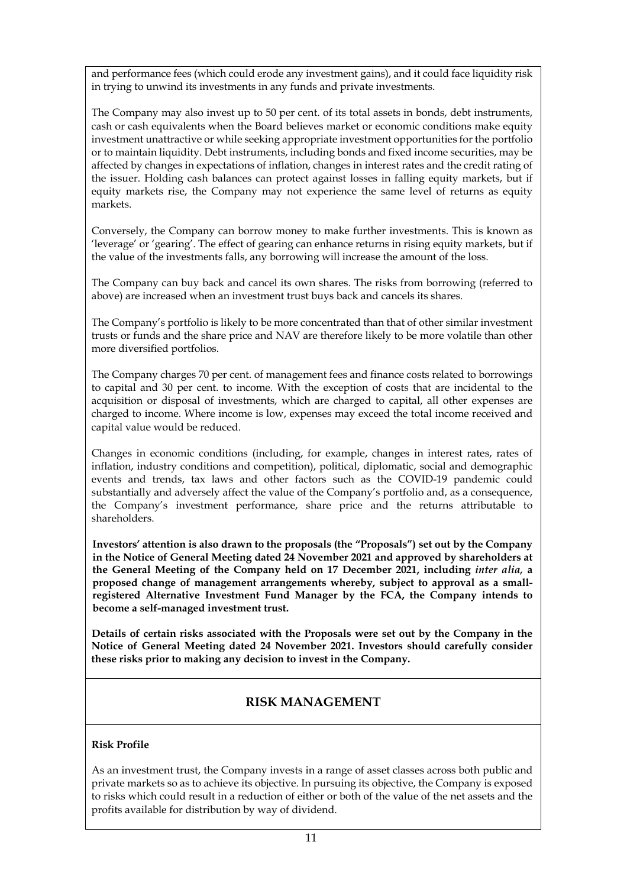and performance fees (which could erode any investment gains), and it could face liquidity risk in trying to unwind its investments in any funds and private investments.

The Company may also invest up to 50 per cent. of its total assets in bonds, debt instruments, cash or cash equivalents when the Board believes market or economic conditions make equity investment unattractive or while seeking appropriate investment opportunities for the portfolio or to maintain liquidity. Debt instruments, including bonds and fixed income securities, may be affected by changes in expectations of inflation, changes in interest rates and the credit rating of the issuer. Holding cash balances can protect against losses in falling equity markets, but if equity markets rise, the Company may not experience the same level of returns as equity markets.

Conversely, the Company can borrow money to make further investments. This is known as 'leverage' or 'gearing'. The effect of gearing can enhance returns in rising equity markets, but if the value of the investments falls, any borrowing will increase the amount of the loss.

The Company can buy back and cancel its own shares. The risks from borrowing (referred to above) are increased when an investment trust buys back and cancels its shares.

The Company's portfolio is likely to be more concentrated than that of other similar investment trusts or funds and the share price and NAV are therefore likely to be more volatile than other more diversified portfolios.

The Company charges 70 per cent. of management fees and finance costs related to borrowings to capital and 30 per cent. to income. With the exception of costs that are incidental to the acquisition or disposal of investments, which are charged to capital, all other expenses are charged to income. Where income is low, expenses may exceed the total income received and capital value would be reduced.

Changes in economic conditions (including, for example, changes in interest rates, rates of inflation, industry conditions and competition), political, diplomatic, social and demographic events and trends, tax laws and other factors such as the COVID-19 pandemic could substantially and adversely affect the value of the Company's portfolio and, as a consequence, the Company's investment performance, share price and the returns attributable to shareholders.

**Investors' attention is also drawn to the proposals (the "Proposals") set out by the Company in the Notice of General Meeting dated 24 November 2021 and approved by shareholders at the General Meeting of the Company held on 17 December 2021, including** *inter alia,* **a proposed change of management arrangements whereby, subject to approval as a smallregistered Alternative Investment Fund Manager by the FCA, the Company intends to become a self-managed investment trust.**

**Details of certain risks associated with the Proposals were set out by the Company in the Notice of General Meeting dated 24 November 2021. Investors should carefully consider these risks prior to making any decision to invest in the Company.**

## **RISK MANAGEMENT**

#### **Risk Profile**

As an investment trust, the Company invests in a range of asset classes across both public and private markets so as to achieve its objective. In pursuing its objective, the Company is exposed to risks which could result in a reduction of either or both of the value of the net assets and the profits available for distribution by way of dividend.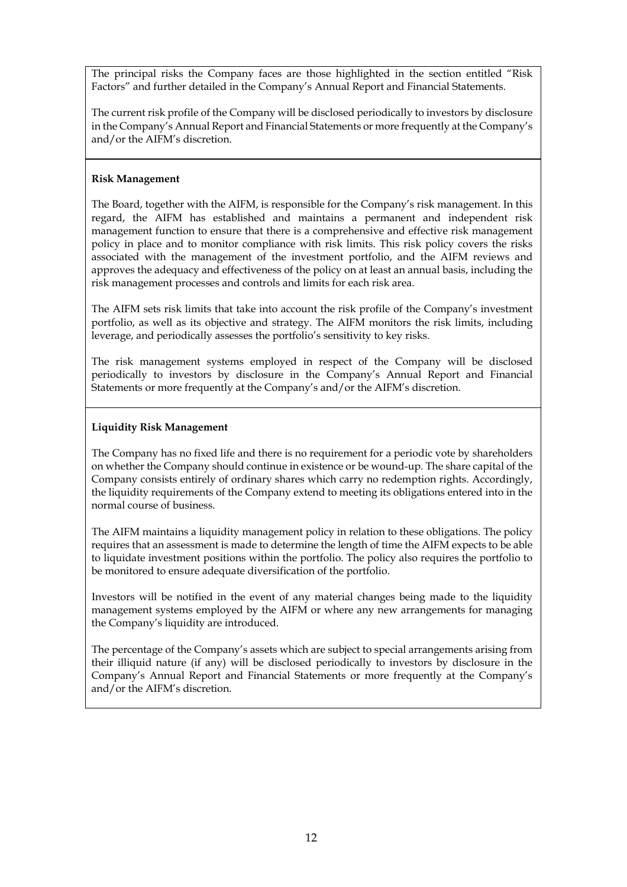The principal risks the Company faces are those highlighted in the section entitled "Risk Factors" and further detailed in the Company's Annual Report and Financial Statements.

The current risk profile of the Company will be disclosed periodically to investors by disclosure in the Company's Annual Report and Financial Statements or more frequently at the Company's and/or the AIFM's discretion.

#### **Risk Management**

The Board, together with the AIFM, is responsible for the Company's risk management. In this regard, the AIFM has established and maintains a permanent and independent risk management function to ensure that there is a comprehensive and effective risk management policy in place and to monitor compliance with risk limits. This risk policy covers the risks associated with the management of the investment portfolio, and the AIFM reviews and approves the adequacy and effectiveness of the policy on at least an annual basis, including the risk management processes and controls and limits for each risk area.

The AIFM sets risk limits that take into account the risk profile of the Company's investment portfolio, as well as its objective and strategy. The AIFM monitors the risk limits, including leverage, and periodically assesses the portfolio's sensitivity to key risks.

The risk management systems employed in respect of the Company will be disclosed periodically to investors by disclosure in the Company's Annual Report and Financial Statements or more frequently at the Company's and/or the AIFM's discretion.

#### **Liquidity Risk Management**

The Company has no fixed life and there is no requirement for a periodic vote by shareholders on whether the Company should continue in existence or be wound-up. The share capital of the Company consists entirely of ordinary shares which carry no redemption rights. Accordingly, the liquidity requirements of the Company extend to meeting its obligations entered into in the normal course of business.

The AIFM maintains a liquidity management policy in relation to these obligations. The policy requires that an assessment is made to determine the length of time the AIFM expects to be able to liquidate investment positions within the portfolio. The policy also requires the portfolio to be monitored to ensure adequate diversification of the portfolio.

Investors will be notified in the event of any material changes being made to the liquidity management systems employed by the AIFM or where any new arrangements for managing the Company's liquidity are introduced.

The percentage of the Company's assets which are subject to special arrangements arising from their illiquid nature (if any) will be disclosed periodically to investors by disclosure in the Company's Annual Report and Financial Statements or more frequently at the Company's and/or the AIFM's discretion.